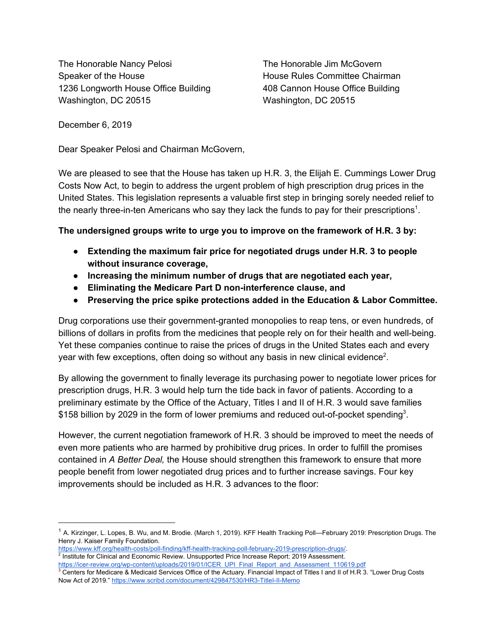The Honorable Nancy Pelosi The Honorable Jim McGovern Speaker of the House **House Committee Chairman** 1236 Longworth House Office Building 408 Cannon House Office Building Washington, DC 20515 Washington, DC 20515

December 6, 2019

Dear Speaker Pelosi and Chairman McGovern,

We are pleased to see that the House has taken up H.R. 3, the Elijah E. Cummings Lower Drug Costs Now Act, to begin to address the urgent problem of high prescription drug prices in the United States. This legislation represents a valuable first step in bringing sorely needed relief to the nearly three-in-ten Americans who say they lack the funds to pay for their prescriptions<sup>1</sup>.

## **The undersigned groups write to urge you to improve on the framework of H.R. 3 by:**

- **● Extending the maximum fair price for negotiated drugs under H.R. 3 to people without insurance coverage,**
- **● Increasing the minimum number of drugs that are negotiated each year,**
- **● Eliminating the Medicare Part D non-interference clause, and**
- **● Preserving the price spike protections added in the Education & Labor Committee.**

Drug corporations use their government-granted monopolies to reap tens, or even hundreds, of billions of dollars in profits from the medicines that people rely on for their health and well-being. Yet these companies continue to raise the prices of drugs in the United States each and every year with few exceptions, often doing so without any basis in new clinical evidence<sup>2</sup>.

By allowing the government to finally leverage its purchasing power to negotiate lower prices for prescription drugs, H.R. 3 would help turn the tide back in favor of patients. According to a preliminary estimate by the Office of the Actuary, Titles I and II of H.R. 3 would save families \$158 billion by 2029 in the form of lower premiums and reduced out-of-pocket spending<sup>3</sup>.

However, the current negotiation framework of H.R. 3 should be improved to meet the needs of even more patients who are harmed by prohibitive drug prices. In order to fulfill the promises contained in *A Better Deal,* the House should strengthen this framework to ensure that more people benefit from lower negotiated drug prices and to further increase savings. Four key improvements should be included as H.R. 3 advances to the floor:

<sup>&</sup>lt;sup>1</sup> A. Kirzinger, L. Lopes, B. Wu, and M. Brodie. (March 1, 2019). KFF Health Tracking Poll—February 2019: Prescription Drugs. The Henry J. Kaiser Family Foundation.

<https://www.kff.org/health-costs/poll-finding/kff-health-tracking-poll-february-2019-prescription-drugs/>. <sup>2</sup> Institute for Clinical and Economic Review. Unsupported Price Increase Report: 2019 Assessment.

[https://icer-review.org/wp-content/uploads/2019/01/ICER\\_UPI\\_Final\\_Report\\_and\\_Assessment\\_110619.pdf](https://icer-review.org/wp-content/uploads/2019/01/ICER_UPI_Final_Report_and_Assessment_110619.pdf)  $3$  Centers for Medicare & Medicaid Services Office of the Actuary. Financial Impact of Titles I and II of H.R 3. "Lower Drug Costs Now Act of 2019." <https://www.scribd.com/document/429847530/HR3-TitleI-II-Memo>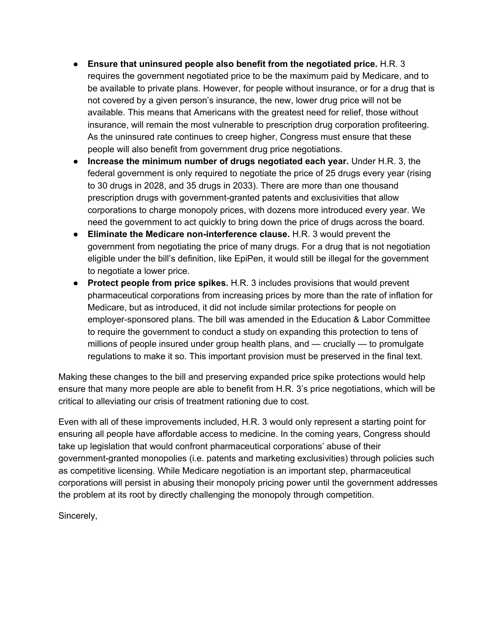- **● Ensure that uninsured people also benefit from the negotiated price.** H.R. 3 requires the government negotiated price to be the maximum paid by Medicare, and to be available to private plans. However, for people without insurance, or for a drug that is not covered by a given person's insurance, the new, lower drug price will not be available. This means that Americans with the greatest need for relief, those without insurance, will remain the most vulnerable to prescription drug corporation profiteering. As the uninsured rate continues to creep higher, Congress must ensure that these people will also benefit from government drug price negotiations.
- **● Increase the minimum number of drugs negotiated each year.** Under H.R. 3, the federal government is only required to negotiate the price of 25 drugs every year (rising to 30 drugs in 2028, and 35 drugs in 2033). There are more than one thousand prescription drugs with government-granted patents and exclusivities that allow corporations to charge monopoly prices, with dozens more introduced every year. We need the government to act quickly to bring down the price of drugs across the board.
- **● Eliminate the Medicare non-interference clause.** H.R. 3 would prevent the government from negotiating the price of many drugs. For a drug that is not negotiation eligible under the bill's definition, like EpiPen, it would still be illegal for the government to negotiate a lower price.
- **Protect people from price spikes.** H.R. 3 includes provisions that would prevent pharmaceutical corporations from increasing prices by more than the rate of inflation for Medicare, but as introduced, it did not include similar protections for people on employer-sponsored plans. The bill was amended in the Education & Labor Committee to require the government to conduct a study on expanding this protection to tens of millions of people insured under group health plans, and — crucially — to promulgate regulations to make it so. This important provision must be preserved in the final text.

Making these changes to the bill and preserving expanded price spike protections would help ensure that many more people are able to benefit from H.R. 3's price negotiations, which will be critical to alleviating our crisis of treatment rationing due to cost.

Even with all of these improvements included, H.R. 3 would only represent a starting point for ensuring all people have affordable access to medicine. In the coming years, Congress should take up legislation that would confront pharmaceutical corporations' abuse of their government-granted monopolies (i.e. patents and marketing exclusivities) through policies such as competitive licensing. While Medicare negotiation is an important step, pharmaceutical corporations will persist in abusing their monopoly pricing power until the government addresses the problem at its root by directly challenging the monopoly through competition.

Sincerely,